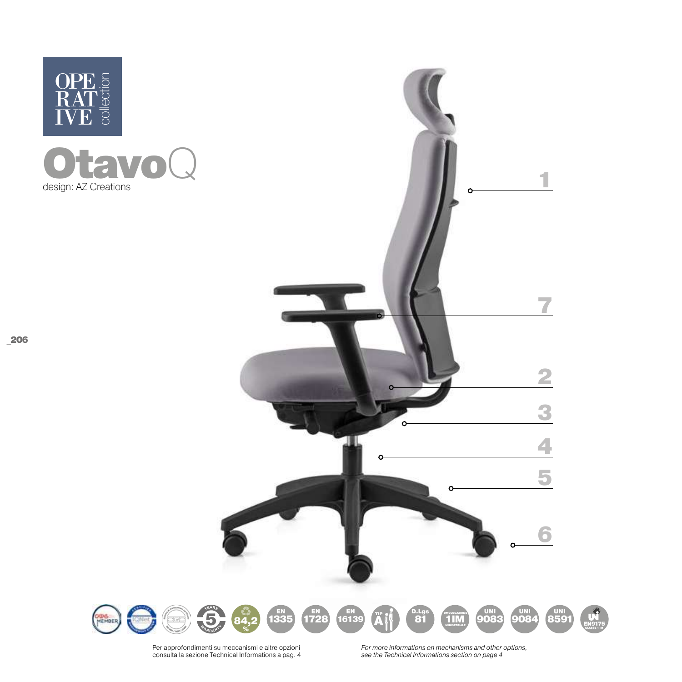

**CANS** 

**KONEC** 



Per approfondimenti su meccanismi e altre opzioni consulta la sezione Technical Informations a pag. 4

*For more informations on mechanisms and other options, see the Technical Informations section on page 4*